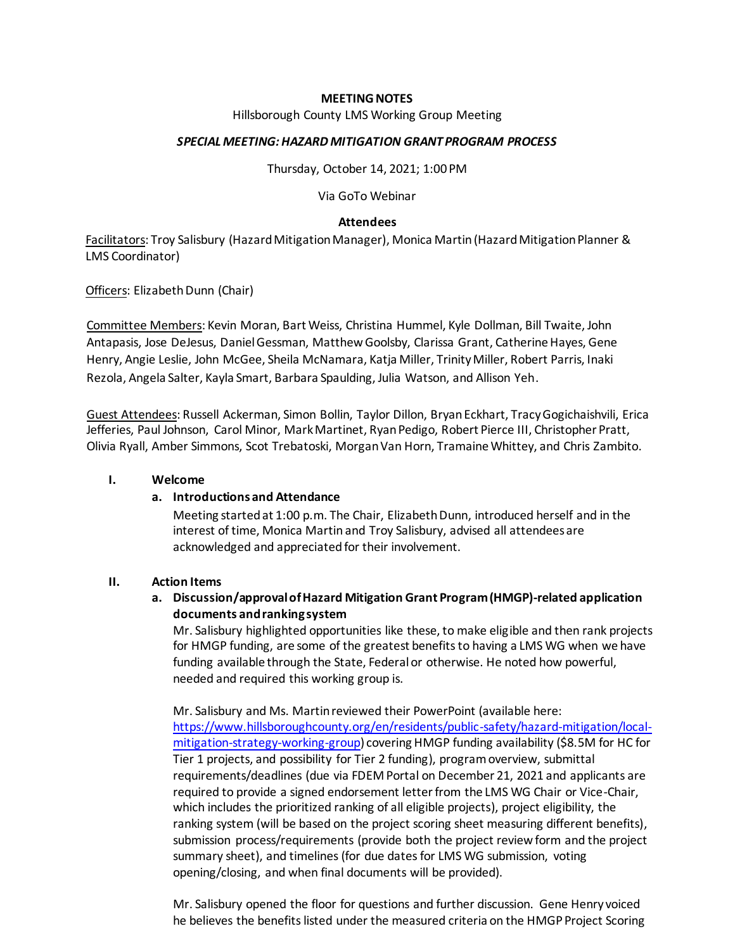### **MEETING NOTES**

Hillsborough County LMS Working Group Meeting

### *SPECIAL MEETING: HAZARD MITIGATION GRANT PROGRAM PROCESS*

Thursday, October 14, 2021; 1:00 PM

Via GoTo Webinar

### **Attendees**

Facilitators: Troy Salisbury (Hazard Mitigation Manager), Monica Martin(Hazard Mitigation Planner & LMS Coordinator)

Officers: Elizabeth Dunn (Chair)

Committee Members: Kevin Moran, Bart Weiss, Christina Hummel, Kyle Dollman, Bill Twaite, John Antapasis, Jose DeJesus, Daniel Gessman, Matthew Goolsby, Clarissa Grant, Catherine Hayes, Gene Henry, Angie Leslie, John McGee, Sheila McNamara, Katja Miller, Trinity Miller, Robert Parris, Inaki Rezola, Angela Salter, Kayla Smart, Barbara Spaulding, Julia Watson, and Allison Yeh.

Guest Attendees: Russell Ackerman, Simon Bollin, Taylor Dillon, Bryan Eckhart, Tracy Gogichaishvili, Erica Jefferies, Paul Johnson, Carol Minor, Mark Martinet, Ryan Pedigo, Robert Pierce III, Christopher Pratt, Olivia Ryall, Amber Simmons, Scot Trebatoski, Morgan Van Horn, Tramaine Whittey, and Chris Zambito.

#### **I. Welcome**

# **a. Introductionsand Attendance**

Meeting started at 1:00 p.m. The Chair, Elizabeth Dunn, introduced herself and in the interest of time, Monica Martin and Troy Salisbury, advised all attendees are acknowledged and appreciated for their involvement.

# **II. Action Items**

# **a. Discussion/approval of Hazard Mitigation Grant Program (HMGP)-related application documents and ranking system**

Mr. Salisbury highlighted opportunities like these, to make eligible and then rank projects for HMGP funding, are some of the greatest benefits to having a LMS WG when we have funding available through the State, Federal or otherwise. He noted how powerful, needed and required this working group is.

Mr. Salisbury and Ms. Martin reviewed their PowerPoint (available here: [https://www.hillsboroughcounty.org/en/residents/public-safety/hazard-mitigation/local](https://www.hillsboroughcounty.org/en/residents/public-safety/hazard-mitigation/local-mitigation-strategy-working-group)[mitigation-strategy-working-group\)](https://www.hillsboroughcounty.org/en/residents/public-safety/hazard-mitigation/local-mitigation-strategy-working-group) covering HMGP funding availability (\$8.5M for HC for Tier 1 projects, and possibility for Tier 2 funding), program overview, submittal requirements/deadlines (due via FDEM Portal on December 21, 2021 and applicants are required to provide a signed endorsement letter from the LMS WG Chair or Vice-Chair, which includes the prioritized ranking of all eligible projects), project eligibility, the ranking system (will be based on the project scoring sheet measuring different benefits), submission process/requirements (provide both the project review form and the project summary sheet), and timelines (for due dates for LMS WG submission, voting opening/closing, and when final documents will be provided).

Mr. Salisbury opened the floor for questions and further discussion. Gene Henry voiced he believes the benefits listed under the measured criteria on the HMGP Project Scoring